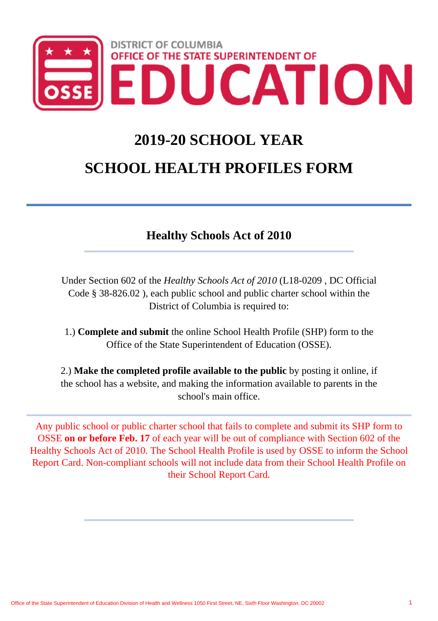

# **2019-20 SCHOOL YEAR**

# **SCHOOL HEALTH PROFILES FORM**

# **Healthy Schools Act of 2010**

Under Section 602 of the *Healthy Schools Act of 2010* (L18-0209 , DC Official Code § 38-826.02 ), each public school and public charter school within the District of Columbia is required to:

1.) **Complete and submit** the online School Health Profile (SHP) form to the Office of the State Superintendent of Education (OSSE).

2.) **Make the completed profile available to the public** by posting it online, if the school has a website, and making the information available to parents in the school's main office.

Any public school or public charter school that fails to complete and submit its SHP form to OSSE **on or before Feb. 17** of each year will be out of compliance with Section 602 of the Healthy Schools Act of 2010. The School Health Profile is used by OSSE to inform the School Report Card. Non-compliant schools will not include data from their School Health Profile on their School Report Card.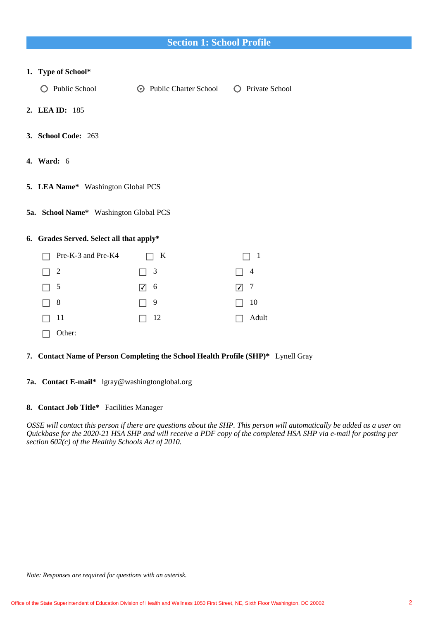# **Section 1: School Profile**

### **1. Type of School\***

- Q Public School **Q Public Charter School** Q Private School
- **2. LEA ID:** 185
- **3. School Code:** 263
- **4. Ward:** 6
- **5. LEA Name\*** Washington Global PCS
- **5a. School Name\*** Washington Global PCS

### **6. Grades Served. Select all that apply\***

| Pre-K-3 and Pre-K4 | $\mathbf{K}$ | $\Box$ 1   |
|--------------------|--------------|------------|
| $\Box$ 2           | $\Box$ 3     | $\Box$ 4   |
| $\Box$ 5           | $\sqrt{ }$ 6 | $\sqrt{7}$ |
| $\Box$ 8           | $\Box$ 9     | $\Box$ 10  |
| $\Box$ 11          | $\Box$ 12    | Adult      |
| Other:             |              |            |

#### **7. Contact Name of Person Completing the School Health Profile (SHP)\*** Lynell Gray

**7a. Contact E-mail\*** lgray@washingtonglobal.org

### **8. Contact Job Title\*** Facilities Manager

*OSSE will contact this person if there are questions about the SHP. This person will automatically be added as a user on Quickbase for the 2020-21 HSA SHP and will receive a PDF copy of the completed HSA SHP via e-mail for posting per section 602(c) of the Healthy Schools Act of 2010.*

*Note: Responses are required for questions with an asterisk.*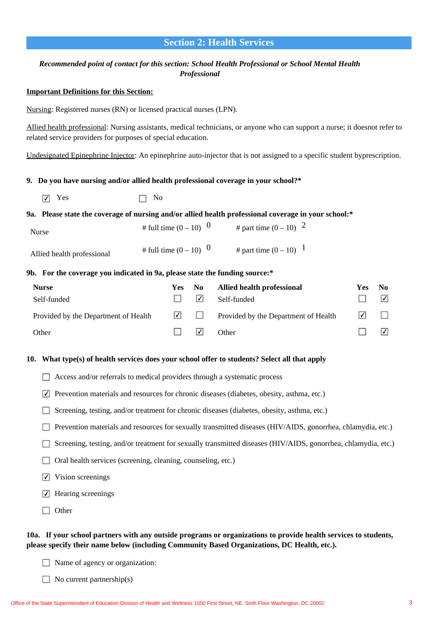# **Section 2: Health Services**

### *Recommended point of contact for this section: School Health Professional or School Mental Health Professional*

### **Important Definitions for this Section:**

Nursing: Registered nurses (RN) or licensed practical nurses (LPN).

Allied health professional: Nursing assistants, medical technicians, or anyone who can support a nurse; it doesnot refer to related service providers for purposes of special education.

Undesignated Epinephrine Injector: An epinephrine auto-injector that is not assigned to a specific student byprescription.

#### **9. Do you have nursing and/or allied health professional coverage in your school?\***

 $\boxed{\bigtriangledown}$  Yes  $\boxed{\bigtriangledown}$  No

### **9a. Please state the coverage of nursing and/or allied health professional coverage in your school:\***

| <b>Nurse</b>               | # full time $(0 - 10)^{0}$ | # part time $(0 - 10)^{-2}$ |
|----------------------------|----------------------------|-----------------------------|
| Allied health professional | # full time $(0 - 10)^{0}$ | # part time $(0 - 10)^{-1}$ |

#### **9b. For the coverage you indicated in 9a, please state the funding source:\***

| <b>Nurse</b>                         | Yes: | - No            | Allied health professional                  | Yes        | N <sub>0</sub>             |
|--------------------------------------|------|-----------------|---------------------------------------------|------------|----------------------------|
| Self-funded                          |      | $ \mathcal{V} $ | Self-funded                                 |            | $\vert \checkmark \vert$   |
| Provided by the Department of Health |      |                 | $\Box$ Provided by the Department of Health | $\sqrt{2}$ |                            |
| Other                                |      | I۷۱             | Other                                       |            | $\overline{ \mathcal{Y} }$ |

#### **10. What type(s) of health services does your school offer to students? Select all that apply**

- $\Box$  Access and/or referrals to medical providers through a systematic process
- $\triangledown$  Prevention materials and resources for chronic diseases (diabetes, obesity, asthma, etc.)
- $\Box$  Screening, testing, and/or treatment for chronic diseases (diabetes, obesity, asthma, etc.)
- Prevention materials and resources for sexually transmitted diseases (HIV/AIDS, gonorrhea, chlamydia, etc.)
- Screening, testing, and/or treatment for sexually transmitted diseases (HIV/AIDS, gonorrhea, chlamydia, etc.)
- $\Box$  Oral health services (screening, cleaning, counseling, etc.)
- $\nabla$  Vision screenings
- $\triangledown$  Hearing screenings
- $\Box$  Other

### **10a. If your school partners with any outside programs or organizations to provide health services to students, please specify their name below (including Community Based Organizations, DC Health, etc.).**

- $\Box$  Name of agency or organization:
- $\Box$  No current partnership(s)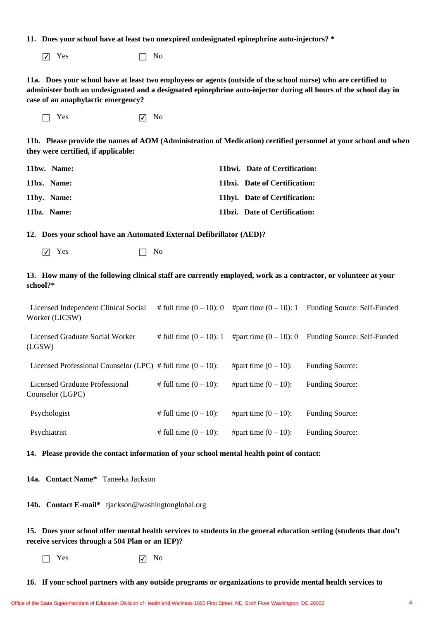**11. Does your school have at least two unexpired undesignated epinephrine auto-injectors? \***

 $\boxed{\triangledown}$  Yes  $\boxed{\square}$  No

**11a. Does your school have at least two employees or agents (outside of the school nurse) who are certified to administer both an undesignated and a designated epinephrine auto-injector during all hours of the school day in case of an anaphylactic emergency?**

 $\Box$  Yes  $\Box$  No

**11b. Please provide the names of AOM (Administration of Medication) certified personnel at your school and when they were certified, if applicable:**

| 11bw. Name: | 11bwi. Date of Certification:  |
|-------------|--------------------------------|
| 11bx. Name: | 11bxi. Date of Certification:  |
| 11by. Name: | 11byi. Date of Certification:  |
| 11bz. Name: | 11 bzi. Date of Certification: |

**12. Does your school have an Automated External Defibrillator (AED)?**

 $\boxed{\triangledown}$  Yes  $\boxed{\square}$  No

### **13. How many of the following clinical staff are currently employed, work as a contractor, or volunteer at your school?\***

 Licensed Independent Clinical Social Worker (LICSW) # full time  $(0 - 10)$ : 0 #part time  $(0 - 10)$ : 1 Funding Source: Self-Funded

 Licensed Graduate Social Worker (LGSW) # full time  $(0 - 10)$ : 1 #part time  $(0 - 10)$ : 0 Funding Source: Self-Funded

Licensed Professional Counselor (LPC) # full time  $(0 - 10)$ : #part time  $(0 - 10)$ : Funding Source:

 Licensed Graduate Professional # full time  $(0 - 10)$ : #part time  $(0 - 10)$ : Funding Source:

 Psychologist # full time  $(0 - 10)$ : #part time  $(0 - 10)$ : Funding Source:

 Psychiatrist # full time  $(0 - 10)$ : #part time  $(0 - 10)$ : Funding Source:

### **14. Please provide the contact information of your school mental health point of contact:**

**14a. Contact Name\*** Taneeka Jackson

Counselor (LGPC)

**14b. Contact E-mail\*** tjackson@washingtonglobal.org

# **15. Does your school offer mental health services to students in the general education setting (students that don't receive services through a 504 Plan or an IEP)?**

 $\Box$  Yes  $\Box$  No

**16. If your school partners with any outside programs or organizations to provide mental health services to**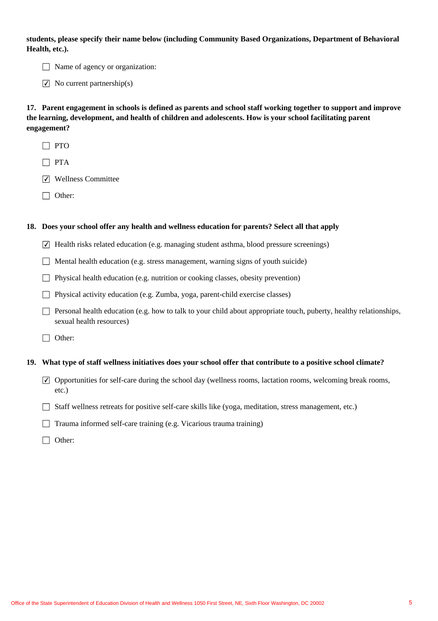**students, please specify their name below (including Community Based Organizations, Department of Behavioral Health, etc.).**

 $\Box$  Name of agency or organization:

 $\triangledown$  No current partnership(s)

**17. Parent engagement in schools is defined as parents and school staff working together to support and improve the learning, development, and health of children and adolescents. How is your school facilitating parent engagement?**

- $\Box$  PTO
- $\Box$  PTA
- **V** Wellness Committee
- □ Other:

#### **18. Does your school offer any health and wellness education for parents? Select all that apply**

- $\overline{\vee}$  Health risks related education (e.g. managing student asthma, blood pressure screenings)
- $\Box$  Mental health education (e.g. stress management, warning signs of youth suicide)
- $\Box$  Physical health education (e.g. nutrition or cooking classes, obesity prevention)
- $\Box$  Physical activity education (e.g. Zumba, yoga, parent-child exercise classes)
- Personal health education (e.g. how to talk to your child about appropriate touch, puberty, healthy relationships, sexual health resources)
- □ Other:

#### **19. What type of staff wellness initiatives does your school offer that contribute to a positive school climate?**

- $\overline{\vee}$  Opportunities for self-care during the school day (wellness rooms, lactation rooms, welcoming break rooms, etc.)
- $\Box$  Staff wellness retreats for positive self-care skills like (yoga, meditation, stress management, etc.)
- $\Box$  Trauma informed self-care training (e.g. Vicarious trauma training)
- □ Other: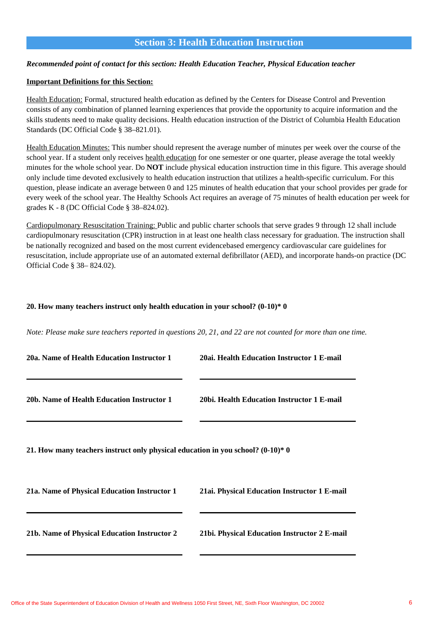# **Section 3: Health Education Instruction**

### *Recommended point of contact for this section: Health Education Teacher, Physical Education teacher*

### **Important Definitions for this Section:**

Health Education: Formal, structured health education as defined by the Centers for Disease Control and Prevention consists of any combination of planned learning experiences that provide the opportunity to acquire information and the skills students need to make quality decisions. Health education instruction of the District of Columbia Health Education Standards (DC Official Code § 38–821.01).

Health Education Minutes: This number should represent the average number of minutes per week over the course of the school year. If a student only receives health education for one semester or one quarter, please average the total weekly minutes for the whole school year. Do **NOT** include physical education instruction time in this figure. This average should only include time devoted exclusively to health education instruction that utilizes a health-specific curriculum. For this question, please indicate an average between 0 and 125 minutes of health education that your school provides per grade for every week of the school year. The Healthy Schools Act requires an average of 75 minutes of health education per week for grades K - 8 (DC Official Code § 38–824.02).

Cardiopulmonary Resuscitation Training: Public and public charter schools that serve grades 9 through 12 shall include cardiopulmonary resuscitation (CPR) instruction in at least one health class necessary for graduation. The instruction shall be nationally recognized and based on the most current evidencebased emergency cardiovascular care guidelines for resuscitation, include appropriate use of an automated external defibrillator (AED), and incorporate hands-on practice (DC Official Code § 38– 824.02).

### **20. How many teachers instruct only health education in your school? (0-10)\* 0**

*Note: Please make sure teachers reported in questions 20, 21, and 22 are not counted for more than one time.*

| 20a. Name of Health Education Instructor 1                                       | 20ai. Health Education Instructor 1 E-mail   |
|----------------------------------------------------------------------------------|----------------------------------------------|
|                                                                                  |                                              |
| 20b. Name of Health Education Instructor 1                                       | 20bi. Health Education Instructor 1 E-mail   |
| 21. How many teachers instruct only physical education in you school? $(0-10)*0$ |                                              |
| 21a. Name of Physical Education Instructor 1                                     | 21ai. Physical Education Instructor 1 E-mail |
| 21b. Name of Physical Education Instructor 2                                     | 21bi. Physical Education Instructor 2 E-mail |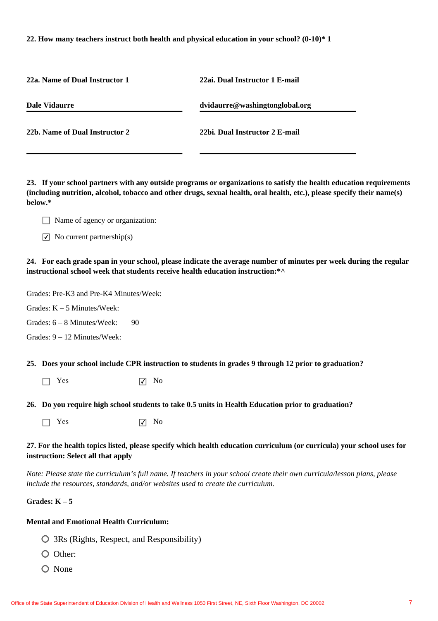### **22. How many teachers instruct both health and physical education in your school? (0-10)\* 1**

| 22a. Name of Dual Instructor 1 | 22ai. Dual Instructor 1 E-mail |
|--------------------------------|--------------------------------|
| <b>Dale Vidaurre</b>           | dvidaurre@washingtonglobal.org |
| 22b. Name of Dual Instructor 2 | 22bi. Dual Instructor 2 E-mail |

**23. If your school partners with any outside programs or organizations to satisfy the health education requirements (including nutrition, alcohol, tobacco and other drugs, sexual health, oral health, etc.), please specify their name(s) below.\***

- $\Box$  Name of agency or organization:
- $\triangledown$  No current partnership(s)

**24. For each grade span in your school, please indicate the average number of minutes per week during the regular instructional school week that students receive health education instruction:\*^**

Grades: Pre-K3 and Pre-K4 Minutes/Week:

Grades: K – 5 Minutes/Week:

90 Grades: 6 – 8 Minutes/Week:

Grades: 9 – 12 Minutes/Week:

**25. Does your school include CPR instruction to students in grades 9 through 12 prior to graduation?**

 $\Box$  Yes  $\Box$  No

**26. Do you require high school students to take 0.5 units in Health Education prior to graduation?**

 $\Box$  Yes  $\Box$  No

### **27. For the health topics listed, please specify which health education curriculum (or curricula) your school uses for instruction: Select all that apply**

*Note: Please state the curriculum's full name. If teachers in your school create their own curricula/lesson plans, please include the resources, standards, and/or websites used to create the curriculum.*

# **Grades: K – 5**

### **Mental and Emotional Health Curriculum:**

- 3Rs (Rights, Respect, and Responsibility)
- O Other:
- O None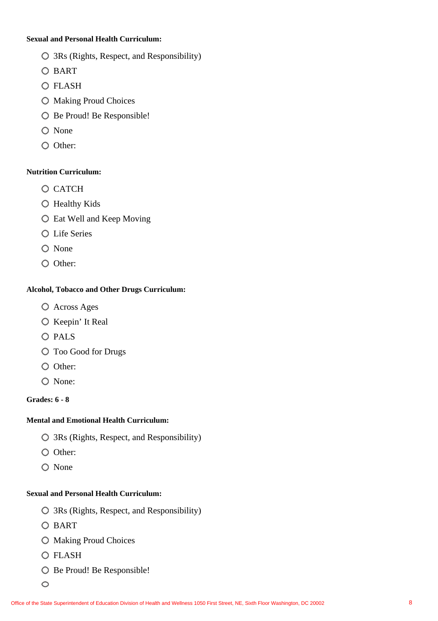# **Sexual and Personal Health Curriculum:**

- 3Rs (Rights, Respect, and Responsibility)
- O BART
- FLASH
- $\bigcirc$  Making Proud Choices
- O Be Proud! Be Responsible!
- None
- O Other:

# **Nutrition Curriculum:**

- O CATCH
- Healthy Kids
- Eat Well and Keep Moving
- Life Series
- O None
- O Other:

# **Alcohol, Tobacco and Other Drugs Curriculum:**

- Across Ages
- $\bigcirc$  Keepin' It Real
- O PALS
- Too Good for Drugs
- O Other:
- O None:

# **Grades: 6 - 8**

# **Mental and Emotional Health Curriculum:**

- 3Rs (Rights, Respect, and Responsibility)
- O Other:
- $\bigcirc$  None

# **Sexual and Personal Health Curriculum:**

- 3Rs (Rights, Respect, and Responsibility)
- O BART
- $\bigcirc$  Making Proud Choices
- FLASH
- O Be Proud! Be Responsible!
- $\circ$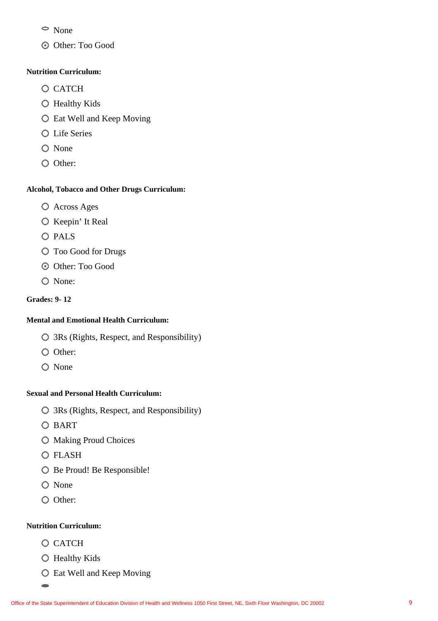- None
- Other: Too Good

# **Nutrition Curriculum:**

- O CATCH
- Healthy Kids
- Eat Well and Keep Moving
- Life Series
- O None
- O Other:

# **Alcohol, Tobacco and Other Drugs Curriculum:**

- Across Ages
- $\bigcirc$  Keepin' It Real
- O PALS
- $\bigcirc$  Too Good for Drugs
- $\odot$  Other: Too Good
- O None:

# **Grades: 9- 12**

# **Mental and Emotional Health Curriculum:**

- 3Rs (Rights, Respect, and Responsibility)
- O Other:
- O None

# **Sexual and Personal Health Curriculum:**

- 3Rs (Rights, Respect, and Responsibility)
- O BART
- $\bigcirc$  Making Proud Choices
- O FLASH
- O Be Proud! Be Responsible!
- O None
- O Other:

# **Nutrition Curriculum:**

O CATCH

 $\Rightarrow$ 

- Healthy Kids
- Eat Well and Keep Moving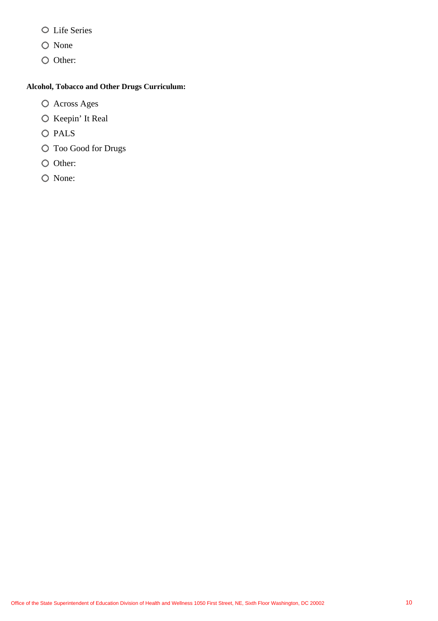- Life Series
- O None
- O Other:

# **Alcohol, Tobacco and Other Drugs Curriculum:**

- Across Ages
- $\bigcirc$  Keepin' It Real
- O PALS
- Too Good for Drugs
- O Other:
- O None: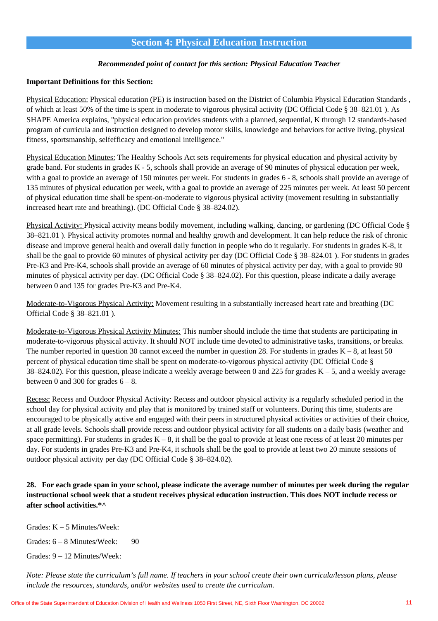# **Section 4: Physical Education Instruction**

### *Recommended point of contact for this section: Physical Education Teacher*

### **Important Definitions for this Section:**

Physical Education: Physical education (PE) is instruction based on the District of Columbia Physical Education Standards , of which at least 50% of the time is spent in moderate to vigorous physical activity (DC Official Code § 38–821.01 ). As SHAPE America explains, "physical education provides students with a planned, sequential, K through 12 standards-based program of curricula and instruction designed to develop motor skills, knowledge and behaviors for active living, physical fitness, sportsmanship, selfefficacy and emotional intelligence."

Physical Education Minutes: The Healthy Schools Act sets requirements for physical education and physical activity by grade band. For students in grades K - 5, schools shall provide an average of 90 minutes of physical education per week, with a goal to provide an average of 150 minutes per week. For students in grades  $6 - 8$ , schools shall provide an average of 135 minutes of physical education per week, with a goal to provide an average of 225 minutes per week. At least 50 percent of physical education time shall be spent-on-moderate to vigorous physical activity (movement resulting in substantially increased heart rate and breathing). (DC Official Code § 38–824.02).

Physical Activity: Physical activity means bodily movement, including walking, dancing, or gardening (DC Official Code § 38–821.01 ). Physical activity promotes normal and healthy growth and development. It can help reduce the risk of chronic disease and improve general health and overall daily function in people who do it regularly. For students in grades K-8, it shall be the goal to provide 60 minutes of physical activity per day (DC Official Code § 38–824.01 ). For students in grades Pre-K3 and Pre-K4, schools shall provide an average of 60 minutes of physical activity per day, with a goal to provide 90 minutes of physical activity per day. (DC Official Code § 38–824.02). For this question, please indicate a daily average between 0 and 135 for grades Pre-K3 and Pre-K4.

Moderate-to-Vigorous Physical Activity: Movement resulting in a substantially increased heart rate and breathing (DC Official Code § 38–821.01 ).

Moderate-to-Vigorous Physical Activity Minutes: This number should include the time that students are participating in moderate-to-vigorous physical activity. It should NOT include time devoted to administrative tasks, transitions, or breaks. The number reported in question 30 cannot exceed the number in question 28. For students in grades  $K - 8$ , at least 50 percent of physical education time shall be spent on moderate-to-vigorous physical activity (DC Official Code § 38–824.02). For this question, please indicate a weekly average between 0 and 225 for grades  $K - 5$ , and a weekly average between 0 and 300 for grades  $6 - 8$ .

Recess: Recess and Outdoor Physical Activity: Recess and outdoor physical activity is a regularly scheduled period in the school day for physical activity and play that is monitored by trained staff or volunteers. During this time, students are encouraged to be physically active and engaged with their peers in structured physical activities or activities of their choice, at all grade levels. Schools shall provide recess and outdoor physical activity for all students on a daily basis (weather and space permitting). For students in grades  $K - 8$ , it shall be the goal to provide at least one recess of at least 20 minutes per day. For students in grades Pre-K3 and Pre-K4, it schools shall be the goal to provide at least two 20 minute sessions of outdoor physical activity per day (DC Official Code § 38–824.02).

# **28. For each grade span in your school, please indicate the average number of minutes per week during the regular instructional school week that a student receives physical education instruction. This does NOT include recess or after school activities.\*^**

Grades: K – 5 Minutes/Week:

90 Grades: 6 – 8 Minutes/Week:

Grades: 9 – 12 Minutes/Week:

*Note: Please state the curriculum's full name. If teachers in your school create their own curricula/lesson plans, please include the resources, standards, and/or websites used to create the curriculum.*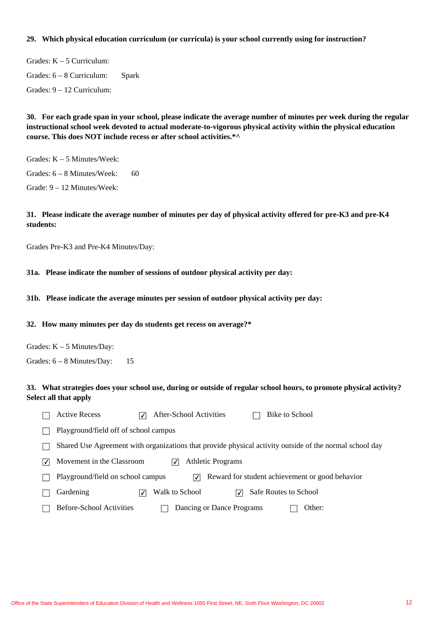### **29. Which physical education curriculum (or curricula) is your school currently using for instruction?**

Spark Grades: K – 5 Curriculum: Grades: 6 – 8 Curriculum: Grades: 9 – 12 Curriculum:

**30. For each grade span in your school, please indicate the average number of minutes per week during the regular instructional school week devoted to actual moderate-to-vigorous physical activity within the physical education course. This does NOT include recess or after school activities.\*^**

Grades: K – 5 Minutes/Week: Grades: 6 – 8 Minutes/Week:

Grade: 9 – 12 Minutes/Week:

### **31. Please indicate the average number of minutes per day of physical activity offered for pre-K3 and pre-K4 students:**

Grades Pre-K3 and Pre-K4 Minutes/Day:

#### **31a. Please indicate the number of sessions of outdoor physical activity per day:**

**31b. Please indicate the average minutes per session of outdoor physical activity per day:**

#### **32. How many minutes per day do students get recess on average?\***

60

Grades: K – 5 Minutes/Day:

15 Grades: 6 – 8 Minutes/Day:

### **33. What strategies does your school use, during or outside of regular school hours, to promote physical activity? Select all that apply**

|   | <b>Active Recess</b><br>After-School Activities<br>Bike to School                                       |        |
|---|---------------------------------------------------------------------------------------------------------|--------|
|   | Playground/field off of school campus                                                                   |        |
|   | Shared Use Agreement with organizations that provide physical activity outside of the normal school day |        |
| √ | Movement in the Classroom<br><b>Athletic Programs</b>                                                   |        |
|   | Reward for student achievement or good behavior<br>Playground/field on school campus<br>ات              |        |
|   | Gardening<br>Walk to School<br>Safe Routes to School<br>✓<br>√                                          |        |
|   | <b>Before-School Activities</b><br>Dancing or Dance Programs                                            | Other: |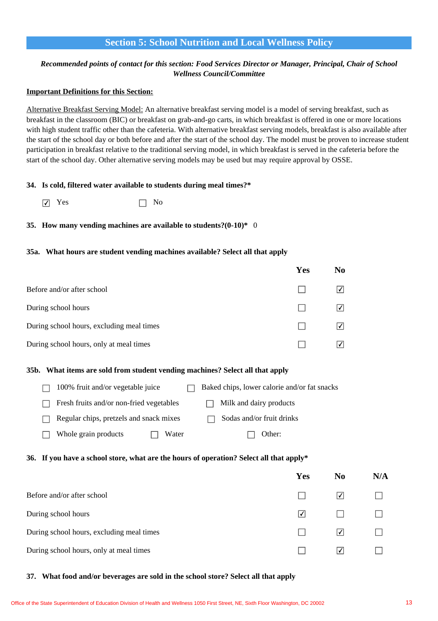# **Section 5: School Nutrition and Local Wellness Policy**

# *Recommended points of contact for this section: Food Services Director or Manager, Principal, Chair of School Wellness Council/Committee*

### **Important Definitions for this Section:**

Alternative Breakfast Serving Model: An alternative breakfast serving model is a model of serving breakfast, such as breakfast in the classroom (BIC) or breakfast on grab-and-go carts, in which breakfast is offered in one or more locations with high student traffic other than the cafeteria. With alternative breakfast serving models, breakfast is also available after the start of the school day or both before and after the start of the school day. The model must be proven to increase student participation in breakfast relative to the traditional serving model, in which breakfast is served in the cafeteria before the start of the school day. Other alternative serving models may be used but may require approval by OSSE.

#### **34. Is cold, filtered water available to students during meal times?\***

 $\nabla$  Yes  $\nabla$  No

### **35. How many vending machines are available to students?(0-10)\*** 0

#### **35a. What hours are student vending machines available? Select all that apply**

|                                           | Yes | N <sub>0</sub> |
|-------------------------------------------|-----|----------------|
| Before and/or after school                |     | ∣√             |
| During school hours                       |     | ∣√             |
| During school hours, excluding meal times |     | ∣√             |
| During school hours, only at meal times   |     | √              |

#### **35b. What items are sold from student vending machines? Select all that apply**

| 100% fruit and/or vegetable juice        | Baked chips, lower calorie and/or fat snacks |
|------------------------------------------|----------------------------------------------|
| Fresh fruits and/or non-fried vegetables | Milk and dairy products                      |
| Regular chips, pretzels and snack mixes  | Sodas and/or fruit drinks                    |
| Whole grain products<br>Water            | Other:                                       |

#### **36. If you have a school store, what are the hours of operation? Select all that apply\***

|                                           | Yes             | N <sub>0</sub> | N/A |
|-------------------------------------------|-----------------|----------------|-----|
| Before and/or after school                |                 | $ \checkmark $ |     |
| During school hours                       | $ \mathcal{V} $ |                |     |
| During school hours, excluding meal times |                 | ا∕⊦            |     |
| During school hours, only at meal times   |                 | √              |     |

#### **37. What food and/or beverages are sold in the school store? Select all that apply**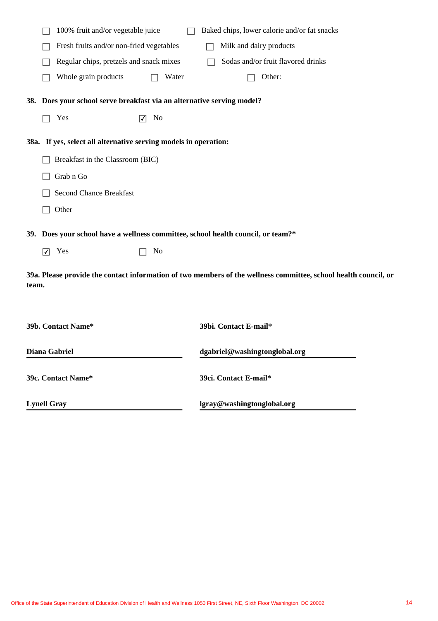|       |                                                                                  | 100% fruit and/or vegetable juice                                |                                | Baked chips, lower calorie and/or fat snacks                                                                    |  |
|-------|----------------------------------------------------------------------------------|------------------------------------------------------------------|--------------------------------|-----------------------------------------------------------------------------------------------------------------|--|
|       | Fresh fruits and/or non-fried vegetables<br>Milk and dairy products              |                                                                  |                                |                                                                                                                 |  |
|       |                                                                                  | Regular chips, pretzels and snack mixes                          |                                | Sodas and/or fruit flavored drinks                                                                              |  |
|       |                                                                                  | Whole grain products                                             | Water                          | Other:                                                                                                          |  |
|       | 38. Does your school serve breakfast via an alternative serving model?           |                                                                  |                                |                                                                                                                 |  |
|       |                                                                                  | Yes                                                              | No<br>$\overline{\mathcal{M}}$ |                                                                                                                 |  |
|       |                                                                                  | 38a. If yes, select all alternative serving models in operation: |                                |                                                                                                                 |  |
|       |                                                                                  | Breakfast in the Classroom (BIC)                                 |                                |                                                                                                                 |  |
|       |                                                                                  | Grab n Go                                                        |                                |                                                                                                                 |  |
|       |                                                                                  | <b>Second Chance Breakfast</b>                                   |                                |                                                                                                                 |  |
|       |                                                                                  | Other                                                            |                                |                                                                                                                 |  |
|       | 39. Does your school have a wellness committee, school health council, or team?* |                                                                  |                                |                                                                                                                 |  |
|       | $\overline{v}$                                                                   | Yes                                                              | No                             |                                                                                                                 |  |
| team. |                                                                                  |                                                                  |                                | 39a. Please provide the contact information of two members of the wellness committee, school health council, or |  |
|       | 39b. Contact Name*<br>39bi. Contact E-mail*                                      |                                                                  |                                |                                                                                                                 |  |
|       | Diana Gabriel<br>dgabriel@washingtonglobal.org                                   |                                                                  |                                |                                                                                                                 |  |
|       |                                                                                  | 39c. Contact Name*                                               |                                | 39ci. Contact E-mail*                                                                                           |  |
|       | <b>Lynell Gray</b><br>lgray@washingtonglobal.org                                 |                                                                  |                                |                                                                                                                 |  |
|       |                                                                                  |                                                                  |                                |                                                                                                                 |  |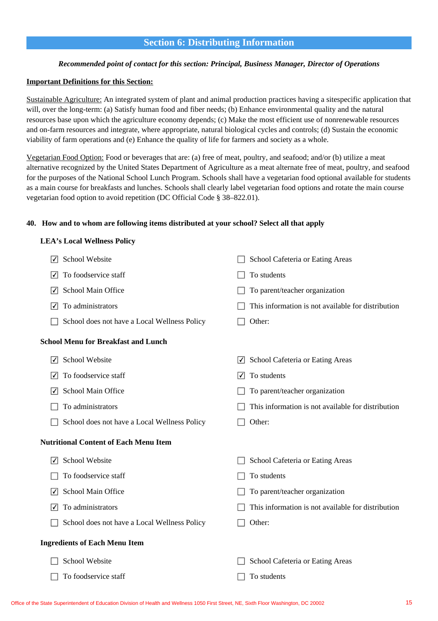# **Section 6: Distributing Information**

### *Recommended point of contact for this section: Principal, Business Manager, Director of Operations*

#### **Important Definitions for this Section:**

Sustainable Agriculture: An integrated system of plant and animal production practices having a sitespecific application that will, over the long-term: (a) Satisfy human food and fiber needs; (b) Enhance environmental quality and the natural resources base upon which the agriculture economy depends; (c) Make the most efficient use of nonrenewable resources and on-farm resources and integrate, where appropriate, natural biological cycles and controls; (d) Sustain the economic viability of farm operations and (e) Enhance the quality of life for farmers and society as a whole.

Vegetarian Food Option: Food or beverages that are: (a) free of meat, poultry, and seafood; and/or (b) utilize a meat alternative recognized by the United States Department of Agriculture as a meat alternate free of meat, poultry, and seafood for the purposes of the National School Lunch Program. Schools shall have a vegetarian food optional available for students as a main course for breakfasts and lunches. Schools shall clearly label vegetarian food options and rotate the main course vegetarian food option to avoid repetition (DC Official Code § 38–822.01).

### **40. How and to whom are following items distributed at your school? Select all that apply**

### **LEA's Local Wellness Policy**

| ✓              | School Website                               |                | School Cafeteria or Eating Areas                   |
|----------------|----------------------------------------------|----------------|----------------------------------------------------|
| √              | To foodservice staff                         |                | To students                                        |
| √              | School Main Office                           |                | To parent/teacher organization                     |
| √              | To administrators                            |                | This information is not available for distribution |
|                | School does not have a Local Wellness Policy |                | Other:                                             |
|                | <b>School Menu for Breakfast and Lunch</b>   |                |                                                    |
| $ \checkmark $ | School Website                               | ∣✓∣            | School Cafeteria or Eating Areas                   |
| ∨              | To foodservice staff                         | $ \checkmark $ | To students                                        |
|                | School Main Office                           |                | To parent/teacher organization                     |
|                | To administrators                            |                | This information is not available for distribution |
|                | School does not have a Local Wellness Policy |                | Other:                                             |
|                | <b>Nutritional Content of Each Menu Item</b> |                |                                                    |
| √              | School Website                               |                | School Cafeteria or Eating Areas                   |
|                | To foodservice staff                         |                | To students                                        |
| ∨              | School Main Office                           |                | To parent/teacher organization                     |
| ∨              | To administrators                            |                | This information is not available for distribution |
|                | School does not have a Local Wellness Policy |                | Other:                                             |
|                | <b>Ingredients of Each Menu Item</b>         |                |                                                    |
|                | School Website                               |                | School Cafeteria or Eating Areas                   |
|                | To foodservice staff                         |                | To students                                        |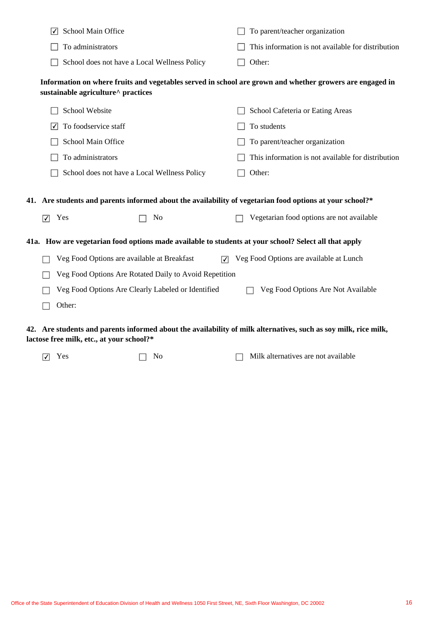|                                                                                                                                                | School Main Office                                                                                       |  | To parent/teacher organization                     |  |  |
|------------------------------------------------------------------------------------------------------------------------------------------------|----------------------------------------------------------------------------------------------------------|--|----------------------------------------------------|--|--|
|                                                                                                                                                | To administrators                                                                                        |  | This information is not available for distribution |  |  |
|                                                                                                                                                | School does not have a Local Wellness Policy                                                             |  | Other:                                             |  |  |
| Information on where fruits and vegetables served in school are grown and whether growers are engaged in<br>sustainable agriculture^ practices |                                                                                                          |  |                                                    |  |  |
|                                                                                                                                                | School Website                                                                                           |  | School Cafeteria or Eating Areas                   |  |  |
| $ \mathcal{V} $                                                                                                                                | To foodservice staff                                                                                     |  | To students                                        |  |  |
|                                                                                                                                                | School Main Office                                                                                       |  | To parent/teacher organization                     |  |  |
|                                                                                                                                                | To administrators                                                                                        |  | This information is not available for distribution |  |  |
|                                                                                                                                                | School does not have a Local Wellness Policy                                                             |  | Other:                                             |  |  |
|                                                                                                                                                | 41. Are students and parents informed about the availability of vegetarian food options at your school?* |  |                                                    |  |  |
| $\overline{\blacktriangledown}$                                                                                                                | Yes<br>N <sub>o</sub>                                                                                    |  | Vegetarian food options are not available          |  |  |
| 41a. How are vegetarian food options made available to students at your school? Select all that apply                                          |                                                                                                          |  |                                                    |  |  |
|                                                                                                                                                | Veg Food Options are available at Breakfast<br>☑                                                         |  | Veg Food Options are available at Lunch            |  |  |
|                                                                                                                                                | Veg Food Options Are Rotated Daily to Avoid Repetition                                                   |  |                                                    |  |  |
|                                                                                                                                                | Veg Food Options Are Clearly Labeled or Identified                                                       |  | Veg Food Options Are Not Available                 |  |  |
|                                                                                                                                                | Other:                                                                                                   |  |                                                    |  |  |
| 42. Are students and parents informed about the availability of milk alternatives, such as soy milk, rice milk,                                |                                                                                                          |  |                                                    |  |  |

- **lactose free milk, etc., at your school?\***
	- $\Box$  Yes  $\Box$  No  $\Box$  Milk alternatives are not available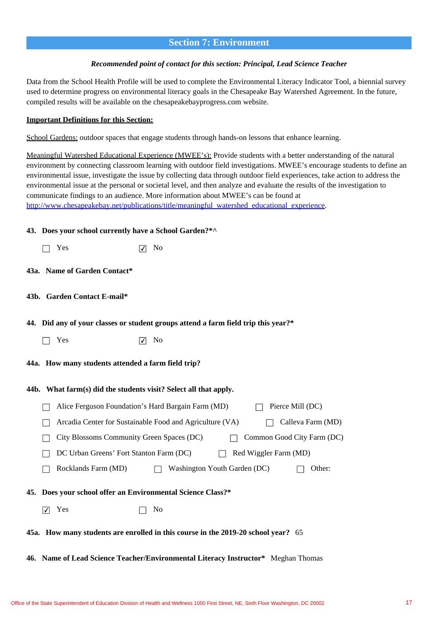# **Section 7: Environment**

#### *Recommended point of contact for this section: Principal, Lead Science Teacher*

Data from the School Health Profile will be used to complete the Environmental Literacy Indicator Tool, a biennial survey used to determine progress on environmental literacy goals in the Chesapeake Bay Watershed Agreement. In the future, compiled results will be available on the chesapeakebayprogress.com website.

#### **Important Definitions for this Section:**

School Gardens: outdoor spaces that engage students through hands-on lessons that enhance learning.

Meaningful Watershed Educational Experience (MWEE's): Provide students with a better understanding of the natural environment by connecting classroom learning with outdoor field investigations. MWEE's encourage students to define an environmental issue, investigate the issue by collecting data through outdoor field experiences, take action to address the environmental issue at the personal or societal level, and then analyze and evaluate the results of the investigation to communicate findings to an audience. More information about MWEE's can be found at [http://www.chesapeakebay.net/publications/title/meaningful\\_watershed\\_educational\\_experience](http://www.chesapeakebay.net/publications/title/meaningful_watershed_educational_experience).

#### **43. Does your school currently have a School Garden?\*^**

| $\Box$ Yes | $\nabla$ No |
|------------|-------------|
|            |             |

- **43a. Name of Garden Contact\***
- **43b. Garden Contact E-mail\***

#### **44. Did any of your classes or student groups attend a farm field trip this year?\***

 $\Box$  Yes  $\Box$  No

#### **44a. How many students attended a farm field trip?**

# **44b. What farm(s) did the students visit? Select all that apply. 45. Does your school offer an Environmental Science Class?\***  $\Box$  Alice Ferguson Foundation's Hard Bargain Farm (MD)  $\Box$  Pierce Mill (DC)  $\Box$  Arcadia Center for Sustainable Food and Agriculture (VA)  $\Box$  Calleva Farm (MD)  $\Box$  City Blossoms Community Green Spaces (DC)  $\Box$  Common Good City Farm (DC)  $\Box$  DC Urban Greens' Fort Stanton Farm (DC)  $\Box$  Red Wiggler Farm (MD)  $\Box$  Rocklands Farm (MD)  $\Box$  Washington Youth Garden (DC)  $\Box$  Other:  $\boxed{\triangledown}$  Yes  $\boxed{\square}$  No

- **45a. How many students are enrolled in this course in the 2019-20 school year?** 65
- **46. Name of Lead Science Teacher/Environmental Literacy Instructor\*** Meghan Thomas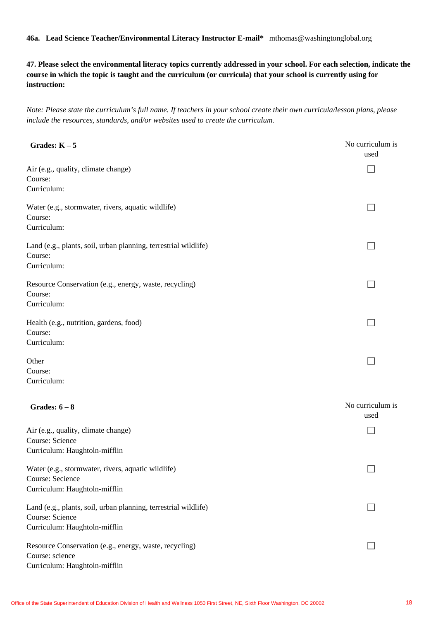**46a. Lead Science Teacher/Environmental Literacy Instructor E-mail\*** mthomas@washingtonglobal.org

**47. Please select the environmental literacy topics currently addressed in your school. For each selection, indicate the course in which the topic is taught and the curriculum (or curricula) that your school is currently using for instruction:**

*Note: Please state the curriculum's full name. If teachers in your school create their own curricula/lesson plans, please include the resources, standards, and/or websites used to create the curriculum.*

| Grades: $K - 5$                                                                                            | No curriculum is<br>used |
|------------------------------------------------------------------------------------------------------------|--------------------------|
| Air (e.g., quality, climate change)<br>Course:                                                             |                          |
| Curriculum:                                                                                                |                          |
| Water (e.g., stormwater, rivers, aquatic wildlife)<br>Course:                                              | $\Box$                   |
| Curriculum:                                                                                                |                          |
| Land (e.g., plants, soil, urban planning, terrestrial wildlife)<br>Course:<br>Curriculum:                  | $\mathcal{A}$            |
| Resource Conservation (e.g., energy, waste, recycling)<br>Course:<br>Curriculum:                           |                          |
| Health (e.g., nutrition, gardens, food)                                                                    | П                        |
| Course:<br>Curriculum:                                                                                     |                          |
|                                                                                                            |                          |
| Other<br>Course:                                                                                           |                          |
| Curriculum:                                                                                                |                          |
| Grades: $6-8$                                                                                              | No curriculum is<br>used |
| Air (e.g., quality, climate change)                                                                        |                          |
| Course: Science                                                                                            |                          |
| Curriculum: Haughtoln-mifflin                                                                              |                          |
| Water (e.g., stormwater, rivers, aquatic wildlife)                                                         | $\Box$                   |
| Course: Secience                                                                                           |                          |
| Curriculum: Haughtoln-mifflin                                                                              |                          |
| Land (e.g., plants, soil, urban planning, terrestrial wildlife)<br>Course: Science                         |                          |
| Curriculum: Haughtoln-mifflin                                                                              |                          |
| Resource Conservation (e.g., energy, waste, recycling)<br>Course: science<br>Curriculum: Haughtoln-mifflin |                          |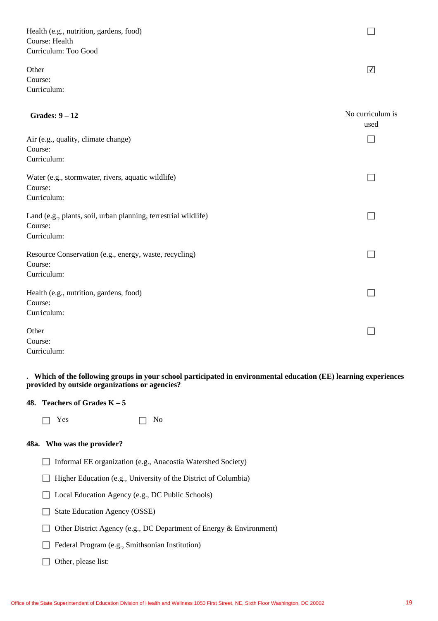Health (e.g., nutrition, gardens, food) Course: Health Curriculum: Too Good

Other Course: Curriculum:

| Grades: $9-12$                                                  | No curriculum is<br>used |
|-----------------------------------------------------------------|--------------------------|
| Air (e.g., quality, climate change)                             |                          |
| Course:<br>Curriculum:                                          |                          |
| Water (e.g., stormwater, rivers, aquatic wildlife)<br>Course:   |                          |
| Curriculum:                                                     |                          |
| Land (e.g., plants, soil, urban planning, terrestrial wildlife) |                          |
| Course:<br>Curriculum:                                          |                          |
| Resource Conservation (e.g., energy, waste, recycling)          |                          |
| Course:<br>Curriculum:                                          |                          |
| Health (e.g., nutrition, gardens, food)                         |                          |
| Course:                                                         |                          |
| Curriculum:                                                     |                          |
| Other                                                           |                          |
| Course:                                                         |                          |

Curriculum:

### **. Which of the following groups in your school participated in environmental education (EE) learning experiences provided by outside organizations or agencies?**

### **48. Teachers of Grades K – 5**

 $\Box$  Yes  $\Box$  No

### **48a. Who was the provider?**

- $\Box$  Informal EE organization (e.g., Anacostia Watershed Society)
- $\Box$  Higher Education (e.g., University of the District of Columbia)
- □ Local Education Agency (e.g., DC Public Schools)
- State Education Agency (OSSE)
- $\Box$  Other District Agency (e.g., DC Department of Energy & Environment)
- Federal Program (e.g., Smithsonian Institution)

# $\Box$  Other, please list:

 $\Box$ 

 $\boxed{\blacktriangledown}$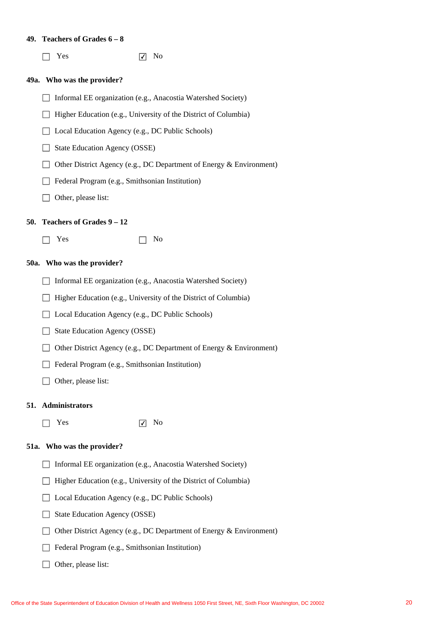#### **49. Teachers of Grades 6 – 8**

**49a. Who was the provider? 50. Teachers of Grades 9 – 12 50a. Who was the provider? 51. Administrators 51a. Who was the provider?**  $\Box$  Yes  $\Box$  No  $\Box$  Yes  $\Box$  No  $\Box$  Yes  $\Box$  No  $\Box$  Informal EE organization (e.g., Anacostia Watershed Society)  $\Box$  Higher Education (e.g., University of the District of Columbia) □ Local Education Agency (e.g., DC Public Schools)  $\Box$  State Education Agency (OSSE) □ Other District Agency (e.g., DC Department of Energy & Environment) Federal Program (e.g., Smithsonian Institution)  $\Box$  Other, please list:  $\Box$  Informal EE organization (e.g., Anacostia Watershed Society)  $\Box$  Higher Education (e.g., University of the District of Columbia) □ Local Education Agency (e.g., DC Public Schools)  $\Box$  State Education Agency (OSSE)  $\Box$  Other District Agency (e.g., DC Department of Energy & Environment) Federal Program (e.g., Smithsonian Institution) □ Other, please list: □ Informal EE organization (e.g., Anacostia Watershed Society)  $\Box$  Higher Education (e.g., University of the District of Columbia) □ Local Education Agency (e.g., DC Public Schools)  $\Box$  State Education Agency (OSSE)  $\Box$  Other District Agency (e.g., DC Department of Energy & Environment) Federal Program (e.g., Smithsonian Institution)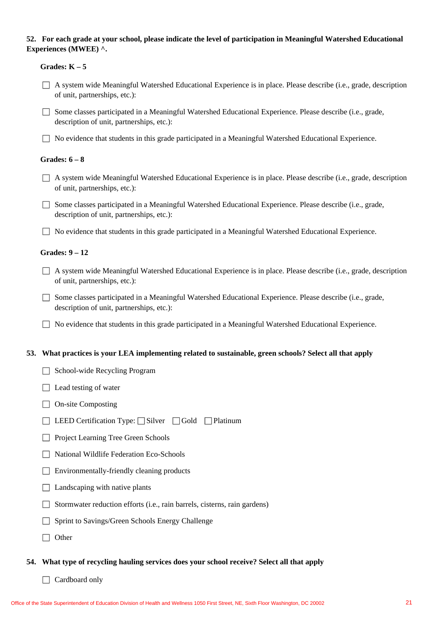# **52. For each grade at your school, please indicate the level of participation in Meaningful Watershed Educational Experiences (MWEE) ^.**

|  | Grades: $K - 5$                                                                                                                                        |
|--|--------------------------------------------------------------------------------------------------------------------------------------------------------|
|  | A system wide Meaningful Watershed Educational Experience is in place. Please describe (i.e., grade, description<br>of unit, partnerships, etc.):      |
|  | Some classes participated in a Meaningful Watershed Educational Experience. Please describe (i.e., grade,<br>description of unit, partnerships, etc.): |
|  | No evidence that students in this grade participated in a Meaningful Watershed Educational Experience.                                                 |
|  | Grades: $6-8$                                                                                                                                          |
|  | A system wide Meaningful Watershed Educational Experience is in place. Please describe (i.e., grade, description<br>of unit, partnerships, etc.):      |
|  | Some classes participated in a Meaningful Watershed Educational Experience. Please describe (i.e., grade,<br>description of unit, partnerships, etc.): |
|  | No evidence that students in this grade participated in a Meaningful Watershed Educational Experience.                                                 |
|  | <b>Grades: 9 - 12</b>                                                                                                                                  |
|  | A system wide Meaningful Watershed Educational Experience is in place. Please describe (i.e., grade, description<br>of unit, partnerships, etc.):      |
|  | Some classes participated in a Meaningful Watershed Educational Experience. Please describe (i.e., grade,<br>description of unit, partnerships, etc.): |
|  | No evidence that students in this grade participated in a Meaningful Watershed Educational Experience.                                                 |
|  | 53. What practices is your LEA implementing related to sustainable, green schools? Select all that apply                                               |
|  | School-wide Recycling Program                                                                                                                          |
|  | $\Box$ Lead testing of water                                                                                                                           |
|  | <b>On-site Composting</b>                                                                                                                              |
|  | LEED Certification Type: □ Silver □ Gold □ Platinum                                                                                                    |
|  | Project Learning Tree Green Schools                                                                                                                    |
|  | National Wildlife Federation Eco-Schools                                                                                                               |
|  | Environmentally-friendly cleaning products                                                                                                             |
|  | Landscaping with native plants                                                                                                                         |
|  | Stormwater reduction efforts (i.e., rain barrels, cisterns, rain gardens)                                                                              |
|  | Sprint to Savings/Green Schools Energy Challenge                                                                                                       |
|  | Other                                                                                                                                                  |
|  | 54. What type of recycling hauling services does your school receive? Select all that apply                                                            |

 $\Box$  Cardboard only